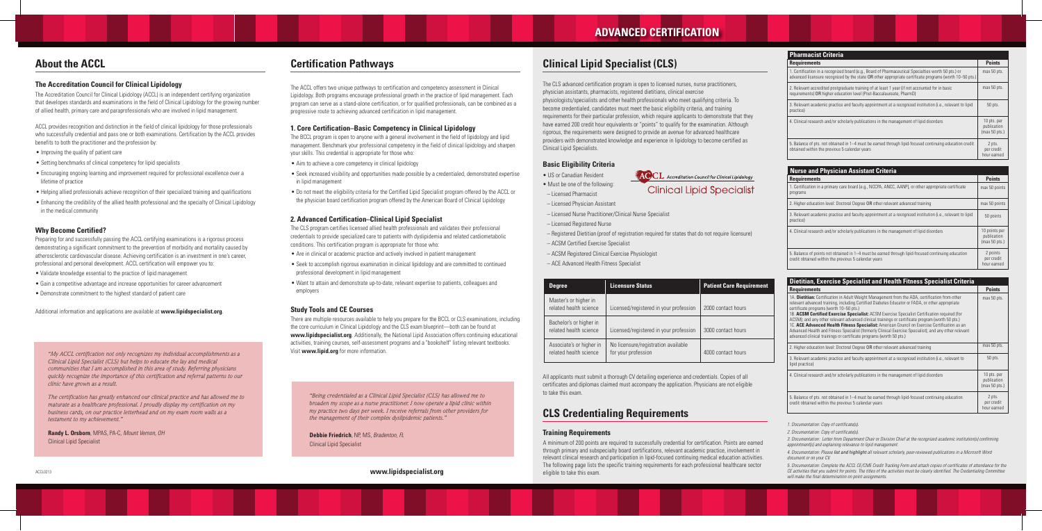## **ADVANCED CERTIFICATION**

## **About the ACCL Certification Pathways Certification Pathways Clinical Lipid Specialist (CLS)**

#### **The Accreditation Council for Clinical Lipidology**

The Accreditation Council for Clinical Lipidology (ACCL) is an independent certifying organization that developes standards and examinations in the field of Clinical Lipidology for the growing number of allied health, primary care and paraprofessionals who are involved in lipid management.

ACCL provides recognition and distinction in the field of clinical lipidology for those professionals who successfully credential and pass one or both examinations. Certification by the ACCL provides benefits to both the practitioner and the profession by:

- Improving the quality of patient care
- Setting benchmarks of clinical competency for lipid specialists
- Encouraging ongoing learning and improvement required for professional excellence over a lifetime of practice
- Helping allied professionals achieve recognition of their specialized training and qualifications
- Enhancing the credibility of the allied health professional and the specialty of Clinical Lipidology in the medical community

#### **Why Become Certified?**

Preparing for and successfully passing the ACCL certifying examinations is a rigorous process demonstrating a significant commitment to the prevention of morbidity and mortality caused by atherosclerotic cardiovascular disease. Achieving certification is an investment in one's career, professional and personal development. ACCL certification will empower you to:

- Validate knowledge essential to the practice of lipid management
- Gain a competitive advantage and increase opportunities for career advancement
- Demonstrate commitment to the highest standard of patient care

Additional information and applications are available at **www.lipidspecialist.org**.

*"My ACCL certification not only recognizes my individual accomplishments as a Clinical Lipid Specialist (CLS) but helps to educate the lay and medical communities that I am accomplished in this area of study. Referring physicians quickly recognize the importance of this certification and referral patterns to our clinic have grown as a result.* 

*The certification has greatly enhanced our clinical practice and has allowed me to maturate as a healthcare professional. I proudly display my certification on my business cards, on our practice letterhead and on my exam room walls as a testament to my achievement."*

**Randy L. Orsborn**, MPAS, PA-C, *Mount Vernon, OH* Clinical Lipid Specialist

*"Being credentialed as a Clinical Lipid Specialist (CLS) has allowed me to broaden my scope as a nurse practitioner. I now operate a lipid clinic within my practice two days per week. I receive referrals from other providers for the management of their complex dyslipidemic patients."*

**Debbie Friedrich**, NP, MS, *Bradenton, FL* Clinical Lipid Specialist

The CLS advanced certification program is open to licensed nurses, nurse practitioners, physician assistants, pharmacists, registered dietitians, clinical exercise physiologists/specialists and other health professionals who meet qualifying criteria. To become credentialed, candidates must meet the basic eligibility criteria, and training requirements for their particular profession, which require applicants to demonstrate that they have earned 200 credit hour equivalents or "points" to qualify for the examination. Although rigorous, the requirements were designed to provide an avenue for advanced healthcare providers with demonstrated knowledge and experience in lipidology to become certified as Clinical Lipid Specialists.

#### **Basic Eligibility Criteria**

• US or Canadian Resident

• Must be one of the following:

– Licensed Pharmacist

– Licensed Physician Assistant

– Licensed Nurse Practitioner/Clinical Nurse Specialist

– Licensed Registered Nurse

- Registered Dietitian (proof of registration required for states that do not require licensure) – ACSM Certified Exercise Specialist
- ACSM Registered Clinical Exercise Physiologist
- ACE Advanced Health Fitness Specialist

All applicants must submit a thorough CV detailing experience and credentials. Copies of all certificates and diplomas claimed must accompany the application. Physicians are not eligible to take this exam.

## **CLS Credentialing Requirements**

A minimum of 200 points are required to successfully credential for certification. Points are earned through primary and subspecialty board certifications, relevant academic practice, involvement in relevant clinical research and participation in lipid-focused continuing medical education activities. The following page lists the specific training requirements for each professional healthcare sector eligible to take this exam.

#### **Training Requirements**

| <b>Pharmacist Criteria</b>                                                                                                                                                                                     |                                             |
|----------------------------------------------------------------------------------------------------------------------------------------------------------------------------------------------------------------|---------------------------------------------|
| <b>Requirements</b>                                                                                                                                                                                            | <b>Points</b>                               |
| 1. Certification in a recognized board (e.g., Board of Pharmaceutical Specialties worth 50 pts.) or<br>advanced licensure recognized by the state OR other appropriate certificate programs (worth 10–50 pts.) | max 50 pts.                                 |
| 2. Relevant accredited postgraduate training of at least 1 year (if not accounted for in basic<br>requirements) OR higher education level (Post-Baccalaureate, PharmD)                                         | max 50 pts.                                 |
| 3. Relevant academic practice and faculty appointment at a recognized institution (i.e., relevant to lipid<br>practice)                                                                                        | 50 pts.                                     |
| 4. Clinical research and/or scholarly publications in the management of lipid disorders                                                                                                                        | 10 pts. per<br>publication<br>(max 50 pts.) |
| 5. Balance of pts. not obtained in 1–4 must be earned through lipid-focused continuing education credit<br>obtained within the previous 5 calendar years                                                       | 2 pts.<br>per credit<br>hour earned         |

| <b>Nurse and Physician Assistant Criteria</b>                                                                                                              |                                               |  |
|------------------------------------------------------------------------------------------------------------------------------------------------------------|-----------------------------------------------|--|
| <b>Requirements</b>                                                                                                                                        | <b>Points</b>                                 |  |
| 1. Certification in a primary care board (e.g., NCCPA, ANCC, AANP), or other appropriate certificate<br>programs                                           | max 50 points                                 |  |
| 2. Higher education level: Doctoral Degree OR other relevant advanced training                                                                             | max 50 points                                 |  |
| 3. Relevant academic practice and faculty appointment at a recognized institution (i.e., relevant to lipid<br>practice)                                    | 50 points                                     |  |
| 4. Clinical research and/or scholarly publications in the management of lipid disorders                                                                    | 10 points per<br>publication<br>(max 50 pts.) |  |
| 5. Balance of points not obtained in 1–4 must be earned through lipid-focused continuing education<br>credit obtained within the previous 5 calendar years | 2 points<br>per credit<br>hour earned         |  |

| <b>Dietitian, Exercise Specialist and Health Fitness Specialist Criteria</b>                                                                                                                                                                                                                                                                                                                                                                                                                                                                                                                                                                                                                                                             |                                             |  |
|------------------------------------------------------------------------------------------------------------------------------------------------------------------------------------------------------------------------------------------------------------------------------------------------------------------------------------------------------------------------------------------------------------------------------------------------------------------------------------------------------------------------------------------------------------------------------------------------------------------------------------------------------------------------------------------------------------------------------------------|---------------------------------------------|--|
| <b>Requirements</b>                                                                                                                                                                                                                                                                                                                                                                                                                                                                                                                                                                                                                                                                                                                      | <b>Points</b>                               |  |
| 1A. <b>Dietitian:</b> Certification in Adult Weight Management from the ADA, certification from other<br>relevant advanced training, including Certified Diabetes Educator or FADA, or other appropriate<br>certificate programs (worth 10-50 pts.)<br>1B. ACSM Certified Exercise Specialist: ACSM Exercise Specialist Certification required (for<br>ACSM); and any other relevant advanced clinical trainings or certificate program (worth 50 pts.)<br>1C. ACE Advanced Health Fitness Specialist: American Council on Exercise Certification as an<br>Advanced Health and Fitness Specialist (formerly Clinical Exercise Specialist); and any other relevant<br>advanced clinical trainings or certificate programs (worth 50 pts.) | max 50 pts.                                 |  |
| 2. Higher education level: Doctoral Degree OR other relevant advanced training                                                                                                                                                                                                                                                                                                                                                                                                                                                                                                                                                                                                                                                           | max 50 pts.                                 |  |
| 3. Relevant academic practice and faculty appointment at a recognized institution (i.e., relevant to<br>lipid practice)                                                                                                                                                                                                                                                                                                                                                                                                                                                                                                                                                                                                                  | 50 pts.                                     |  |
| 4. Clinical research and/or scholarly publications in the management of lipid disorders                                                                                                                                                                                                                                                                                                                                                                                                                                                                                                                                                                                                                                                  | 10 pts. per<br>publication<br>(max 50 pts.) |  |
| 5. Balance of pts. not obtained in 1–4 must be earned through lipid-focused continuing education<br>credit obtained within the previous 5 calendar years                                                                                                                                                                                                                                                                                                                                                                                                                                                                                                                                                                                 | 2 pts.<br>per credit<br>hour earned         |  |

The ACCL offers two unique pathways to certification and competency assessment in Clinical Lipidology. Both programs encourage professional growth in the practice of lipid management. Each program can serve as a stand-alone certification, or for qualified professionals, can be combined as a progressive route to achieving advanced certification in lipid management.

#### **1. Core Certification–Basic Competency in Clinical Lipidology**

The BCCL program is open to anyone with a general involvement in the field of lipidology and lipid management. Benchmark your professional competency in the field of clinical lipidology and sharpen your skills. This credential is appropriate for those who:

- Aim to achieve a core competency in clinical lipidology
- Seek increased visibility and opportunities made possible by a credentialed, demonstrated expertise in lipid management
- Do not meet the eligibility criteria for the Certified Lipid Specialist program offered by the ACCL or the physician board certification program offered by the American Board of Clinical Lipidology

#### **2. Advanced Certification–Clinical Lipid Specialist**

The CLS program certifies licensed allied health professionals and validates their professional credentials to provide specialized care to patients with dyslipidemia and related cardiometabolic conditions. This certification program is appropriate for those who:

- Are in clinical or academic practice and actively involved in patient management
- Seek to accomplish rigorous examination in clinical lipidology and are committed to continued professional development in lipid management
- Want to attain and demonstrate up-to-date, relevant expertise to patients, colleagues and employers

#### **Study Tools and CE Courses**

There are multiple resources available to help you prepare for the BCCL or CLS examinations, including the core curriculum in Clinical Lipidology and the CLS exam blueprint—both can be found at www.lipidspecialist.org. Additionally, the National Lipid Association offers continuing educational activities, training courses, self-assessment programs and a "bookshelf" listing relevant textbooks. Visit **www.lipid.org** for more information.

**www.lipidspecialist.org**

| <b>Degree</b>                                      | <b>Licensure Status</b>                                    | <b>Patient Care Requirement</b> |
|----------------------------------------------------|------------------------------------------------------------|---------------------------------|
| Master's or higher in<br>related health science    | Licensed/registered in your profession                     | 2000 contact hours              |
| Bachelor's or higher in<br>related health science  | Licensed/registered in your profession                     | 3000 contact hours              |
| Associate's or higher in<br>related health science | No licensure/registration available<br>for your profession | 4000 contact hours              |

*1. Documentation: Copy of certificate(s).*

*2. Documentation: Copy of certificate(s).*

*3. Documentation: Letter from Department Chair or Division Chief at the recognized academic institution(s) confirming appointment(s) and explaining relevance to lipid management.*

*4. Documentation: Please list and highlight all relevant scholarly, peer-reviewed publications in a Microsoft Word document or on your CV.*

*5. Documentation: Complete the ACCL CE/CME Credit Tracking Form and attach copies of certificates of attendance for the CE activities that you submit for points. The titles of the activities must be clearly identified. The Credentialing Committee will make the final determination on point assignments.*